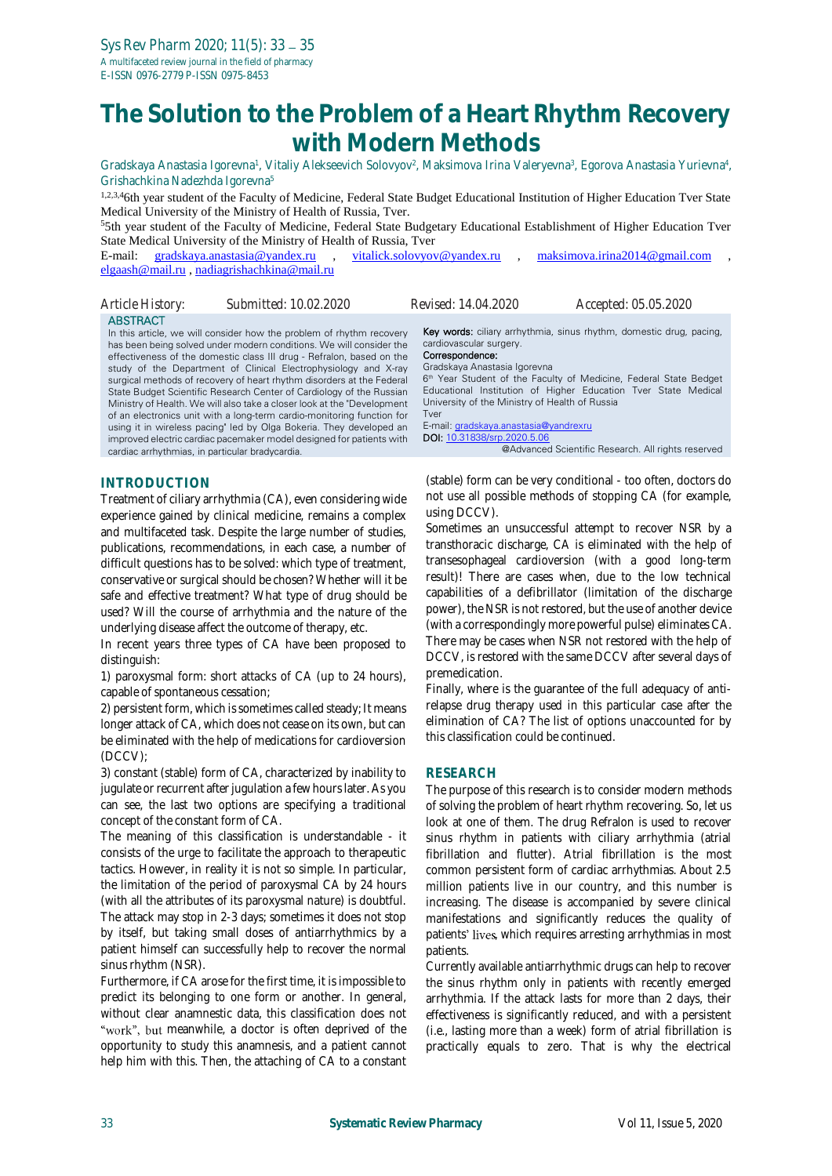## **The Solution to the Problem of a Heart Rhythm Recovery with Modern Methods**

Gradskaya Anastasia Igorevna<sup>1</sup>, Vitaliy Alekseevich Solovyov<sup>2</sup>, Maksimova Irina Valeryevna<sup>3</sup>, Egorova Anastasia Yurievna<sup>4</sup>, Grishachkina Nadezhda Igorevna<sup>5</sup>

1,2,3,46th year student of the Faculty of Medicine, Federal State Budget Educational Institution of Higher Education Tver State Medical University of the Ministry of Health of Russia, Tver.

<sup>5</sup>5th year student of the Faculty of Medicine, Federal State Budgetary Educational Establishment of Higher Education Tver State Medical University of the Ministry of Health of Russia, Tver

E-mail: [gradskaya.anastasia@yandex.ru](mailto:gradskaya.anastasia@yandex.ru) , [vitalick.solovyov@yandex.ru](mailto:vitalick.solovyov@yandex.ru) , [maksimova.irina2014@gmail.com](mailto:maksimova.irina2014@gmail.com) [elgaash@mail.ru](mailto:elgaash@mail.ru) , [nadiagrishachkina@mail.ru](mailto:nadiagrishachkina@mail.ru)

| Article History:                                                   | Submitted: 10.02.2020                                                                                                                                                                                                                                                                                                                                                                                                                                                                                                                                                                                                                                                                                                                         | Revised: 14.04.2020                                                                                                                                                                                          | Accepted: 05.05.2020                                                                                                                                                                                                                                             |
|--------------------------------------------------------------------|-----------------------------------------------------------------------------------------------------------------------------------------------------------------------------------------------------------------------------------------------------------------------------------------------------------------------------------------------------------------------------------------------------------------------------------------------------------------------------------------------------------------------------------------------------------------------------------------------------------------------------------------------------------------------------------------------------------------------------------------------|--------------------------------------------------------------------------------------------------------------------------------------------------------------------------------------------------------------|------------------------------------------------------------------------------------------------------------------------------------------------------------------------------------------------------------------------------------------------------------------|
| <b>ABSTRACT</b><br>cardiac arrhythmias, in particular bradycardia. | In this article, we will consider how the problem of rhythm recovery<br>has been being solved under modern conditions. We will consider the<br>effectiveness of the domestic class III drug - Refralon, based on the<br>study of the Department of Clinical Electrophysiology and X-ray<br>surgical methods of recovery of heart rhythm disorders at the Federal<br>State Budget Scientific Research Center of Cardiology of the Russian<br>Ministry of Health. We will also take a closer look at the "Development"<br>of an electronics unit with a long-term cardio-monitoring function for<br>using it in wireless pacing" led by Olga Bokeria. They developed an<br>improved electric cardiac pacemaker model designed for patients with | cardiovascular surgery.<br>Correspondence:<br>Gradskaya Anastasia Igorevna<br>University of the Ministry of Health of Russia<br>Tver<br>E-mail: gradskaya.anastasia@yandrexru<br>DOI: 10.31838/srp.2020.5.06 | Key words: ciliary arrhythmia, sinus rhythm, domestic drug, pacing,<br>6th Year Student of the Faculty of Medicine, Federal State Bedget<br>Educational Institution of Higher Education Tver State Medical<br>@Advanced Scientific Research. All rights reserved |
| INITDODI ICTIONI                                                   |                                                                                                                                                                                                                                                                                                                                                                                                                                                                                                                                                                                                                                                                                                                                               |                                                                                                                                                                                                              | (stable) form can be very conditional - too often doctors do                                                                                                                                                                                                     |

**INTRODUCTION**

Treatment of ciliary arrhythmia (CA), even considering wide experience gained by clinical medicine, remains a complex and multifaceted task. Despite the large number of studies, publications, recommendations, in each case, a number of difficult questions has to be solved: which type of treatment, conservative or surgical should be chosen? Whether will it be safe and effective treatment? What type of drug should be used? Will the course of arrhythmia and the nature of the underlying disease affect the outcome of therapy, etc.

In recent years three types of CA have been proposed to distinguish:

1) paroxysmal form: short attacks of CA (up to 24 hours), capable of spontaneous cessation;

2) persistent form, which is sometimes called steady; It means longer attack of CA, which does not cease on its own, but can be eliminated with the help of medications for cardioversion (DCCV);

3) constant (stable) form of CA, characterized by inability to jugulate or recurrent after jugulation a few hours later. As you can see, the last two options are specifying a traditional concept of the constant form of CA.

The meaning of this classification is understandable - it consists of the urge to facilitate the approach to therapeutic tactics. However, in reality it is not so simple. In particular, the limitation of the period of paroxysmal CA by 24 hours (with all the attributes of its paroxysmal nature) is doubtful. The attack may stop in 2-3 days; sometimes it does not stop by itself, but taking small doses of antiarrhythmics by a patient himself can successfully help to recover the normal sinus rhythm (NSR).

Furthermore, if CA arose for the first time, it is impossible to predict its belonging to one form or another. In general, without clear anamnestic data, this classification does not "work", but meanwhile, a doctor is often deprived of the opportunity to study this anamnesis, and a patient cannot help him with this. Then, the attaching of CA to a constant

(stable) form can be very conditional - too often, doctors do not use all possible methods of stopping CA (for example, using DCCV).

Sometimes an unsuccessful attempt to recover NSR by a transthoracic discharge, CA is eliminated with the help of transesophageal cardioversion (with a good long-term result)! There are cases when, due to the low technical capabilities of a defibrillator (limitation of the discharge power), the NSR is not restored, but the use of another device (with a correspondingly more powerful pulse) eliminates CA. There may be cases when NSR not restored with the help of DCCV, is restored with the same DCCV after several days of premedication.

Finally, where is the guarantee of the full adequacy of antirelapse drug therapy used in this particular case after the elimination of CA? The list of options unaccounted for by this classification could be continued.

## **RESEARCH**

The purpose of this research is to consider modern methods of solving the problem of heart rhythm recovering. So, let us look at one of them. The drug Refralon is used to recover sinus rhythm in patients with ciliary arrhythmia (atrial fibrillation and flutter). Atrial fibrillation is the most common persistent form of cardiac arrhythmias. About 2.5 million patients live in our country, and this number is increasing. The disease is accompanied by severe clinical manifestations and significantly reduces the quality of patients' lives, which requires arresting arrhythmias in most patients.

Currently available antiarrhythmic drugs can help to recover the sinus rhythm only in patients with recently emerged arrhythmia. If the attack lasts for more than 2 days, their effectiveness is significantly reduced, and with a persistent (i.e., lasting more than a week) form of atrial fibrillation is practically equals to zero. That is why the electrical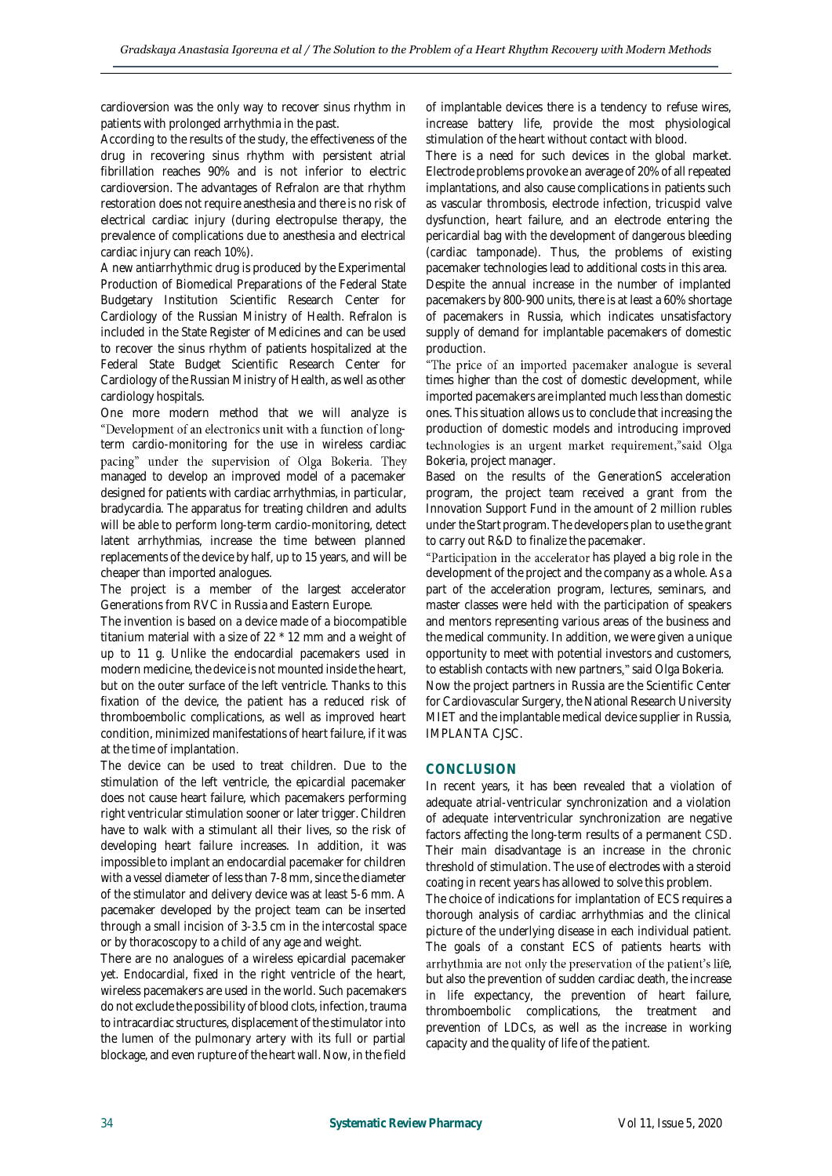cardioversion was the only way to recover sinus rhythm in patients with prolonged arrhythmia in the past.

According to the results of the study, the effectiveness of the drug in recovering sinus rhythm with persistent atrial fibrillation reaches 90% and is not inferior to electric cardioversion. The advantages of Refralon are that rhythm restoration does not require anesthesia and there is no risk of electrical cardiac injury (during electropulse therapy, the prevalence of complications due to anesthesia and electrical cardiac injury can reach 10%).

A new antiarrhythmic drug is produced by the Experimental Production of Biomedical Preparations of the Federal State Budgetary Institution Scientific Research Center for Cardiology of the Russian Ministry of Health. Refralon is included in the State Register of Medicines and can be used to recover the sinus rhythm of patients hospitalized at the Federal State Budget Scientific Research Center for Cardiology of the Russian Ministry of Health, as well as other cardiology hospitals.

One more modern method that we will analyze is "Development of an electronics unit with a function of longterm cardio-monitoring for the use in wireless cardiac pacing" under the supervision of Olga Bokeria. They managed to develop an improved model of a pacemaker designed for patients with cardiac arrhythmias, in particular, bradycardia. The apparatus for treating children and adults will be able to perform long-term cardio-monitoring, detect latent arrhythmias, increase the time between planned replacements of the device by half, up to 15 years, and will be cheaper than imported analogues.

The project is a member of the largest accelerator Generations from RVC in Russia and Eastern Europe.

The invention is based on a device made of a biocompatible titanium material with a size of 22 \* 12 mm and a weight of up to 11 g. Unlike the endocardial pacemakers used in modern medicine, the device is not mounted inside the heart, but on the outer surface of the left ventricle. Thanks to this fixation of the device, the patient has a reduced risk of thromboembolic complications, as well as improved heart condition, minimized manifestations of heart failure, if it was at the time of implantation.

The device can be used to treat children. Due to the stimulation of the left ventricle, the epicardial pacemaker does not cause heart failure, which pacemakers performing right ventricular stimulation sooner or later trigger. Children have to walk with a stimulant all their lives, so the risk of developing heart failure increases. In addition, it was impossible to implant an endocardial pacemaker for children with a vessel diameter of less than 7-8 mm, since the diameter of the stimulator and delivery device was at least 5-6 mm. A pacemaker developed by the project team can be inserted through a small incision of 3-3.5 cm in the intercostal space or by thoracoscopy to a child of any age and weight.

There are no analogues of a wireless epicardial pacemaker yet. Endocardial, fixed in the right ventricle of the heart, wireless pacemakers are used in the world. Such pacemakers do not exclude the possibility of blood clots, infection, trauma to intracardiac structures, displacement of the stimulator into the lumen of the pulmonary artery with its full or partial blockage, and even rupture of the heart wall. Now, in the field of implantable devices there is a tendency to refuse wires, increase battery life, provide the most physiological stimulation of the heart without contact with blood.

There is a need for such devices in the global market. Electrode problems provoke an average of 20% of all repeated implantations, and also cause complications in patients such as vascular thrombosis, electrode infection, tricuspid valve dysfunction, heart failure, and an electrode entering the pericardial bag with the development of dangerous bleeding (cardiac tamponade). Thus, the problems of existing pacemaker technologies lead to additional costs in this area. Despite the annual increase in the number of implanted pacemakers by 800-900 units, there is at least a 60% shortage of pacemakers in Russia, which indicates unsatisfactory supply of demand for implantable pacemakers of domestic production.

"The price of an imported pacemaker analogue is several times higher than the cost of domestic development, while imported pacemakers are implanted much less than domestic ones. This situation allows us to conclude that increasing the production of domestic models and introducing improved technologies is an urgent market requirement,"said Olga Bokeria, project manager.

Based on the results of the GenerationS acceleration program, the project team received a grant from the Innovation Support Fund in the amount of 2 million rubles under the Start program. The developers plan to use the grant to carry out R&D to finalize the pacemaker.

"Participation in the accelerator has played a big role in the development of the project and the company as a whole. As a part of the acceleration program, lectures, seminars, and master classes were held with the participation of speakers and mentors representing various areas of the business and the medical community. In addition, we were given a unique opportunity to meet with potential investors and customers, to establish contacts with new partners," said Olga Bokeria. Now the project partners in Russia are the Scientific Center for Cardiovascular Surgery, the National Research University MIET and the implantable medical device supplier in Russia, IMPLANTA CJSC.

## **CONCLUSION**

In recent years, it has been revealed that a violation of adequate atrial-ventricular synchronization and a violation of adequate interventricular synchronization are negative factors affecting the long-term results of a permanent CSD. Their main disadvantage is an increase in the chronic threshold of stimulation. The use of electrodes with a steroid coating in recent years has allowed to solve this problem.

The choice of indications for implantation of ECS requires a thorough analysis of cardiac arrhythmias and the clinical picture of the underlying disease in each individual patient. The goals of a constant ECS of patients hearts with arrhythmia are not only the preservation of the patient's life, but also the prevention of sudden cardiac death, the increase in life expectancy, the prevention of heart failure, thromboembolic complications, the treatment and prevention of LDCs, as well as the increase in working capacity and the quality of life of the patient.